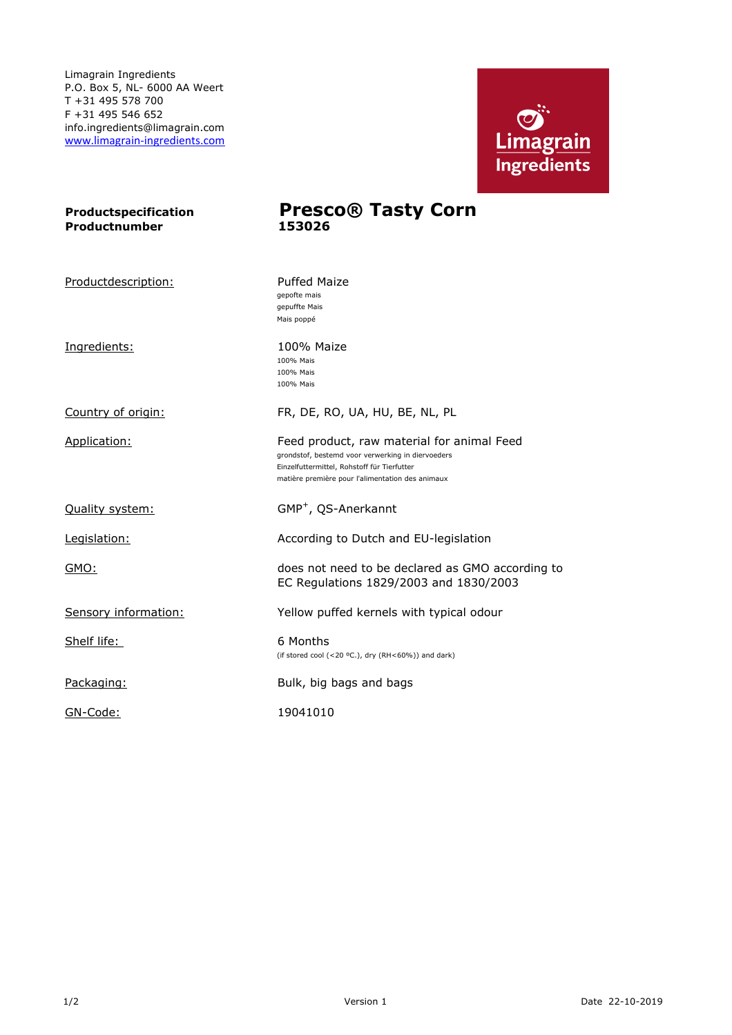Limagrain Ingredients P.O. Box 5, NL- 6000 AA Weert T +31 495 578 700 F +31 495 546 652 info.ingredients@limagrain.com www.limagrain-ingredients.com



## Productspecification Presco<sup>®</sup> Tasty Corn<br>Productnumber 153026

Productdescription: Puffed Maize

Productnumber

Ingredients: 100% Maize

Country of origin: FR, DE, RO, UA, HU, BE, NL, PL

Quality system:

Shelf life: 6 Months

gepofte mais gepuffte Mais Mais poppé

100% Mais 100% Mais 100% Mais

Application: Feed product, raw material for animal Feed grondstof, bestemd voor verwerking in diervoeders Einzelfuttermittel, Rohstoff für Tierfutter

matière première pour l'alimentation des animaux

GMP<sup>+</sup>, QS-Anerkannt

Legislation: **Legislation** According to Dutch and EU-legislation

GMO: GMO: does not need to be declared as GMO according to EC Regulations 1829/2003 and 1830/2003

Sensory information: <br>
Yellow puffed kernels with typical odour

(if stored cool (<20 ºC.), dry (RH<60%)) and dark)

Packaging: Bulk, big bags and bags

GN-Code: 19041010